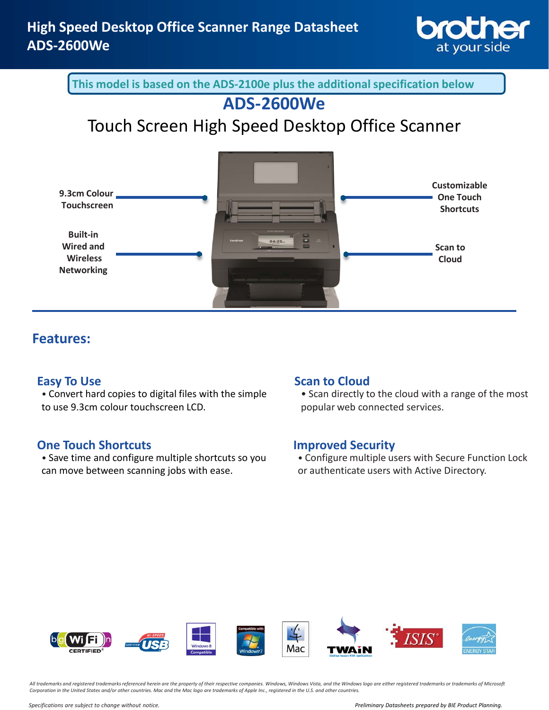

**This model is based on the ADS-2100e plus the additional specification below** 

## **ADS-2600We**

# Touch Screen High Speed Desktop Office Scanner



## **Features:**

## **Easy To Use**

• Convert hard copies to digital files with the simple to use 9.3cm colour touchscreen LCD.

## **One Touch Shortcuts**

• Save time and configure multiple shortcuts so you can move between scanning jobs with ease.

## **Scan to Cloud**

• Scan directly to the cloud with a range of the most popular web connected services.

## **Improved Security**

• Configure multiple users with Secure Function Lock or authenticate users with Active Directory.



*All trademarks and registered trademarks referenced herein are the property of their respective companies. Windows, Windows Vista, and the Windows logo are either registered trademarks or trademarks of Microsoft Corporation in the United States and/or other countries. Mac and the Mac logo are trademarks of Apple Inc., registered in the U.S. and other countries.*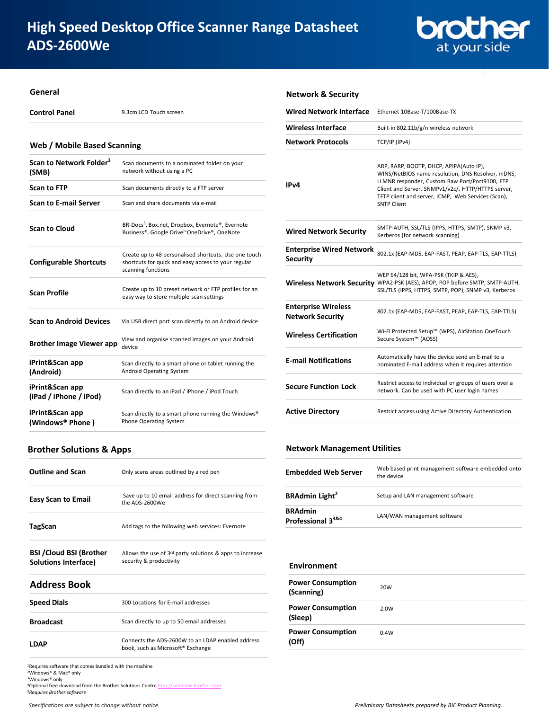

#### **General**

**Control Panel** 9.3cm LCD Touch screen

#### **Web / Mobile Based Scanning**

| Scan to Network Folder <sup>3</sup><br>(SMB) | Scan documents to a nominated folder on your<br>network without using a PC                                                         |
|----------------------------------------------|------------------------------------------------------------------------------------------------------------------------------------|
| <b>Scan to FTP</b>                           | Scan documents directly to a FTP server                                                                                            |
| <b>Scan to E-mail Server</b>                 | Scan and share documents via e-mail                                                                                                |
| <b>Scan to Cloud</b>                         | BR-Docs <sup>5</sup> , Box.net, Dropbox, Evernote®, Evernote<br>Business®, Google Drive™OneDrive®, OneNote                         |
| <b>Configurable Shortcuts</b>                | Create up to 48 personalised shortcuts. Use one touch<br>shortcuts for quick and easy access to your regular<br>scanning functions |
| <b>Scan Profile</b>                          | Create up to 10 preset network or FTP profiles for an<br>easy way to store multiple scan settings                                  |
| <b>Scan to Android Devices</b>               | Via USB direct port scan directly to an Android device                                                                             |
| <b>Brother Image Viewer app</b>              | View and organise scanned images on your Android<br>device                                                                         |
| iPrint&Scan app<br>(Android)                 | Scan directly to a smart phone or tablet running the<br><b>Android Operating System</b>                                            |
| iPrint&Scan app<br>(iPad / iPhone / iPod)    | Scan directly to an iPad / iPhone / iPod Touch                                                                                     |
| iPrint&Scan app<br>(Windows® Phone)          | Scan directly to a smart phone running the Windows®<br>Phone Operating System                                                      |

### **Wired Network Interface** Ethernet 10Base-T/100Base-TX **Wireless Interface** Built-in 802.11b/g/n wireless network **Network Protocols** TCP/IP (IPv4) **IPv4** ARP, RARP, BOOTP, DHCP, APIPA(Auto IP), WINS/NetBIOS name resolution, DNS Resolver, mDNS, LLMNR responder, Custom Raw Port/Port9100, FTP Client and Server, SNMPv1/v2c/, HTTP/HTTPS server, TFTP client and server, ICMP, Web Services (Scan), SNTP Client **Wired Network Security** SMTP-AUTH, SSL/TLS (IPPS, HTTPS, SMTP), SNMP v3, Kerberos (for network scanning) **Enterprise Wired Network Security Security Security** 802.1x (EAP-MD5, EAP-FAST, PEAP, EAP-TLS, EAP-TTLS) **Wireless Network Security** WPA2-PSK (AES), APOP, POP before SMTP, SMTP-AUTH, WEP 64/128 bit, WPA-PSK (TKIP & AES), SSL/TLS (IPPS, HTTPS, SMTP, POP), SNMP v3, Kerberos **Enterprise Wireless Network Security** 802.1x (EAP-MD5, EAP-FAST, PEAP, EAP-TLS, EAP-TTLS) **Wireless Certification** Wi-Fi Protected Setup™ (WPS), AirStation OneTouch Secure System™ (AOSS) **E-mail Notifications** Automatically have the device send an E-mail to a nominated E-mail address when it requires attention **Secure Function Lock** Restrict access to individual or groups of users over a network. Can be used with PC user login names

### **Brother Solutions & Apps**

| <b>Outline and Scan</b>                                 | Only scans areas outlined by a red pen                                                |
|---------------------------------------------------------|---------------------------------------------------------------------------------------|
| <b>Easy Scan to Email</b>                               | Save up to 10 email address for direct scanning from<br>the ADS-2600We                |
| TagScan                                                 | Add tags to the following web services: Evernote                                      |
| <b>BSI / Cloud BSI (Brother</b><br>Solutions Interface) | Allows the use of $3rd$ party solutions & apps to increase<br>security & productivity |

#### **Address Book**

| <b>Speed Dials</b> | 300 Locations for E-mail addresses                                                     |
|--------------------|----------------------------------------------------------------------------------------|
| <b>Broadcast</b>   | Scan directly to up to 50 email addresses                                              |
| <b>LDAP</b>        | Connects the ADS-2600W to an LDAP enabled address<br>book, such as Microsoft® Exchange |

<sup>1</sup>Requires software that comes bundled with the machine <sup>2</sup>Windows® & Mac® only <sup>3</sup>Windows® only

4Optional free download from the Brother Solutions Centre http://solutions.brother *5Requires Brother software*

#### **Network Management Utilities**

**Network & Security**

| <b>Embedded Web Server</b>                          | Web based print management software embedded onto<br>the device |
|-----------------------------------------------------|-----------------------------------------------------------------|
| <b>BRAdmin Light<sup>2</sup></b>                    | Setup and LAN management software                               |
| <b>BRAdmin</b><br>Professional 3 <sup>3&amp;4</sup> | LAN/WAN management software                                     |

**Active Directory** Restrict access using Active Directory Authentication

#### **Environment**

| <b>Power Consumption</b><br>(Scanning) | 20W  |
|----------------------------------------|------|
| <b>Power Consumption</b><br>(Sleep)    | 2.0W |
| <b>Power Consumption</b><br>(Off)      | 0.4W |